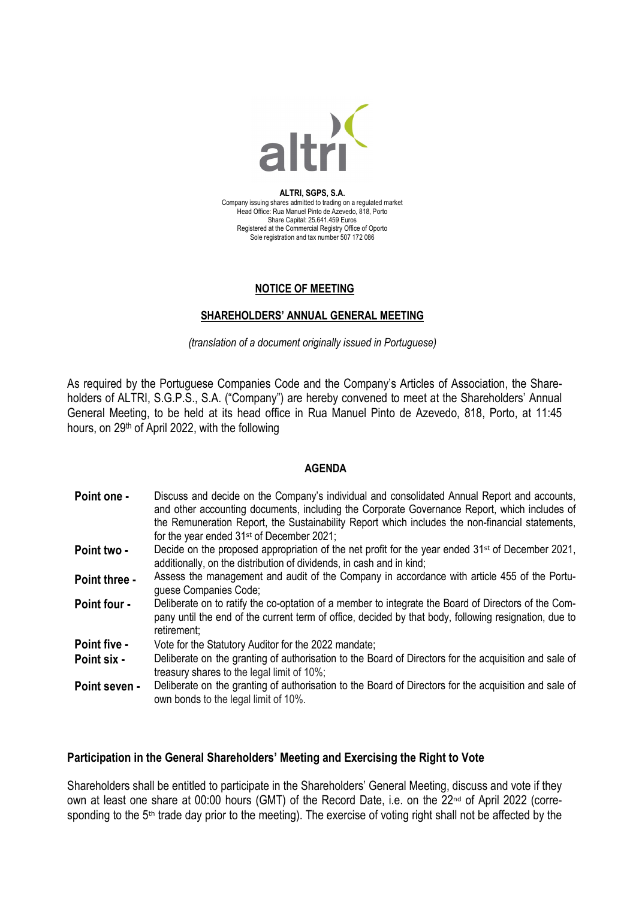

**ALTRI, SGPS, S.A.** Company issuing shares admitted to trading on a regulated market Head Office: Rua Manuel Pinto de Azevedo, 818, Porto Share Capital: 25.641.459 Euros Registered at the Commercial Registry Office of Oporto Sole registration and tax number 507 172 086

#### **NOTICE OF MEETING**

#### **SHAREHOLDERS' ANNUAL GENERAL MEETING**

*(translation of a document originally issued in Portuguese)*

As required by the Portuguese Companies Code and the Company's Articles of Association, the Shareholders of ALTRI, S.G.P.S., S.A. ("Company") are hereby convened to meet at the Shareholders' Annual General Meeting, to be held at its head office in Rua Manuel Pinto de Azevedo, 818, Porto, at 11:45 hours, on 29th of April 2022, with the following

#### **AGENDA**

| Point one -          | Discuss and decide on the Company's individual and consolidated Annual Report and accounts,<br>and other accounting documents, including the Corporate Governance Report, which includes of<br>the Remuneration Report, the Sustainability Report which includes the non-financial statements, |
|----------------------|------------------------------------------------------------------------------------------------------------------------------------------------------------------------------------------------------------------------------------------------------------------------------------------------|
|                      | for the year ended 31 <sup>st</sup> of December 2021;                                                                                                                                                                                                                                          |
| <b>Point two -</b>   | Decide on the proposed appropriation of the net profit for the year ended $31^{st}$ of December 2021,<br>additionally, on the distribution of dividends, in cash and in kind;                                                                                                                  |
| <b>Point three -</b> | Assess the management and audit of the Company in accordance with article 455 of the Portu-<br>quese Companies Code;                                                                                                                                                                           |

- **Point four -** Deliberate on to ratify the co-optation of a member to integrate the Board of Directors of the Company until the end of the current term of office, decided by that body, following resignation, due to retirement;
- **Point five -** Vote for the Statutory Auditor for the 2022 mandate;
- **Point six -** Deliberate on the granting of authorisation to the Board of Directors for the acquisition and sale of treasury shares to the legal limit of 10%;
- **Point seven -** Deliberate on the granting of authorisation to the Board of Directors for the acquisition and sale of own bonds to the legal limit of 10%.

#### **Participation in the General Shareholders' Meeting and Exercising the Right to Vote**

Shareholders shall be entitled to participate in the Shareholders' General Meeting, discuss and vote if they own at least one share at 00:00 hours (GMT) of the Record Date, i.e. on the 22<sup>nd</sup> of April 2022 (corresponding to the 5<sup>th</sup> trade day prior to the meeting). The exercise of voting right shall not be affected by the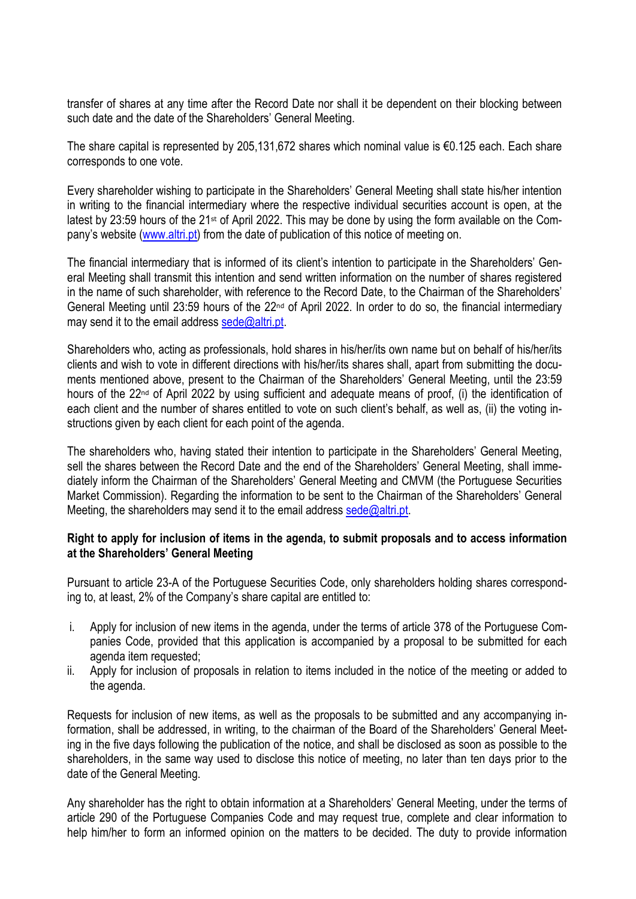transfer of shares at any time after the Record Date nor shall it be dependent on their blocking between such date and the date of the Shareholders' General Meeting.

The share capital is represented by 205,131,672 shares which nominal value is €0.125 each. Each share corresponds to one vote.

Every shareholder wishing to participate in the Shareholders' General Meeting shall state his/her intention in writing to the financial intermediary where the respective individual securities account is open, at the latest by 23:59 hours of the 21st of April 2022. This may be done by using the form available on the Company's website [\(www.altri.pt\)](http://www.altri.pt/) from the date of publication of this notice of meeting on.

The financial intermediary that is informed of its client's intention to participate in the Shareholders' General Meeting shall transmit this intention and send written information on the number of shares registered in the name of such shareholder, with reference to the Record Date, to the Chairman of the Shareholders' General Meeting until 23:59 hours of the 22<sup>nd</sup> of April 2022. In order to do so, the financial intermediary may send it to the email address [sede@altri.pt.](mailto:sede@altri.pt)

Shareholders who, acting as professionals, hold shares in his/her/its own name but on behalf of his/her/its clients and wish to vote in different directions with his/her/its shares shall, apart from submitting the documents mentioned above, present to the Chairman of the Shareholders' General Meeting, until the 23:59 hours of the 22<sup>nd</sup> of April 2022 by using sufficient and adequate means of proof, (i) the identification of each client and the number of shares entitled to vote on such client's behalf, as well as, (ii) the voting instructions given by each client for each point of the agenda.

The shareholders who, having stated their intention to participate in the Shareholders' General Meeting, sell the shares between the Record Date and the end of the Shareholders' General Meeting, shall immediately inform the Chairman of the Shareholders' General Meeting and CMVM (the Portuguese Securities Market Commission). Regarding the information to be sent to the Chairman of the Shareholders' General Meeting, the shareholders may send it to the email address [sede@altri.pt.](mailto:sede@altri.pt)

## **Right to apply for inclusion of items in the agenda, to submit proposals and to access information at the Shareholders' General Meeting**

Pursuant to article 23-A of the Portuguese Securities Code, only shareholders holding shares corresponding to, at least, 2% of the Company's share capital are entitled to:

- i. Apply for inclusion of new items in the agenda, under the terms of article 378 of the Portuguese Companies Code, provided that this application is accompanied by a proposal to be submitted for each agenda item requested;
- ii. Apply for inclusion of proposals in relation to items included in the notice of the meeting or added to the agenda.

Requests for inclusion of new items, as well as the proposals to be submitted and any accompanying information, shall be addressed, in writing, to the chairman of the Board of the Shareholders' General Meeting in the five days following the publication of the notice, and shall be disclosed as soon as possible to the shareholders, in the same way used to disclose this notice of meeting, no later than ten days prior to the date of the General Meeting.

Any shareholder has the right to obtain information at a Shareholders' General Meeting, under the terms of article 290 of the Portuguese Companies Code and may request true, complete and clear information to help him/her to form an informed opinion on the matters to be decided. The duty to provide information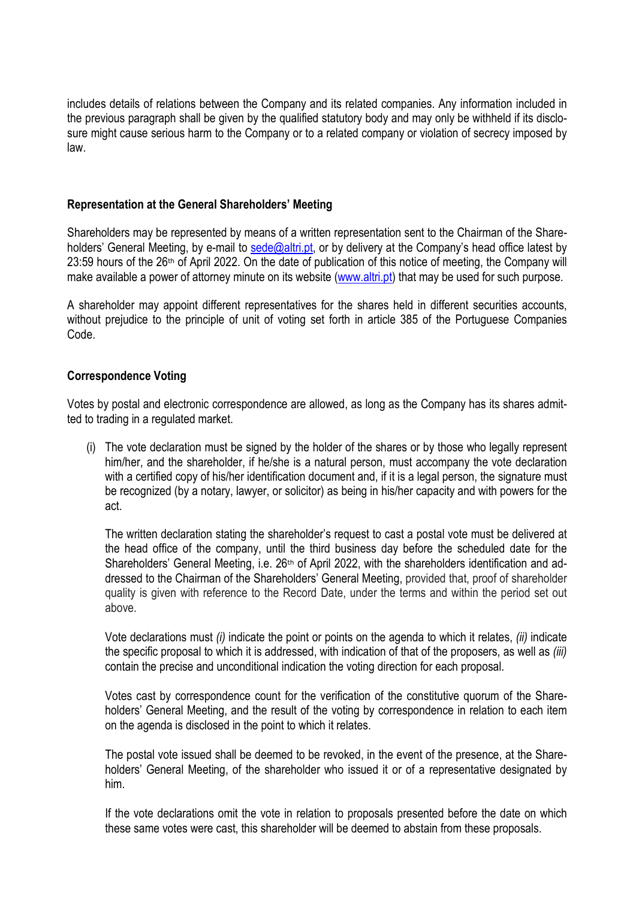includes details of relations between the Company and its related companies. Any information included in the previous paragraph shall be given by the qualified statutory body and may only be withheld if its disclosure might cause serious harm to the Company or to a related company or violation of secrecy imposed by law.

## **Representation at the General Shareholders' Meeting**

Shareholders may be represented by means of a written representation sent to the Chairman of the Shareholders' General Meeting, by e-mail to [sede@altri.pt,](mailto:sede@altri.pt) or by delivery at the Company's head office latest by 23:59 hours of the 26<sup>th</sup> of April 2022. On the date of publication of this notice of meeting, the Company will make available a power of attorney minute on its website [\(www.altri.pt\)](http://www.altri.pt/) that may be used for such purpose.

A shareholder may appoint different representatives for the shares held in different securities accounts, without prejudice to the principle of unit of voting set forth in article 385 of the Portuguese Companies Code.

## **Correspondence Voting**

Votes by postal and electronic correspondence are allowed, as long as the Company has its shares admitted to trading in a regulated market.

(i) The vote declaration must be signed by the holder of the shares or by those who legally represent him/her, and the shareholder, if he/she is a natural person, must accompany the vote declaration with a certified copy of his/her identification document and, if it is a legal person, the signature must be recognized (by a notary, lawyer, or solicitor) as being in his/her capacity and with powers for the act.

The written declaration stating the shareholder's request to cast a postal vote must be delivered at the head office of the company, until the third business day before the scheduled date for the Shareholders' General Meeting, i.e. 26<sup>th</sup> of April 2022, with the shareholders identification and addressed to the Chairman of the Shareholders' General Meeting, provided that, proof of shareholder quality is given with reference to the Record Date, under the terms and within the period set out above.

Vote declarations must *(i)* indicate the point or points on the agenda to which it relates, *(ii)* indicate the specific proposal to which it is addressed, with indication of that of the proposers, as well as *(iii)* contain the precise and unconditional indication the voting direction for each proposal.

Votes cast by correspondence count for the verification of the constitutive quorum of the Shareholders' General Meeting, and the result of the voting by correspondence in relation to each item on the agenda is disclosed in the point to which it relates.

The postal vote issued shall be deemed to be revoked, in the event of the presence, at the Shareholders' General Meeting, of the shareholder who issued it or of a representative designated by him.

If the vote declarations omit the vote in relation to proposals presented before the date on which these same votes were cast, this shareholder will be deemed to abstain from these proposals.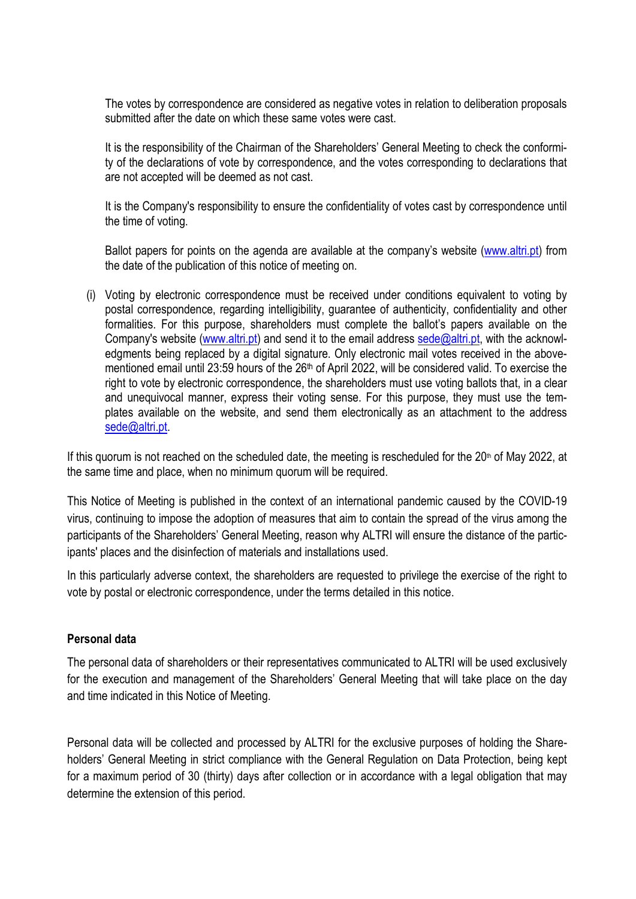The votes by correspondence are considered as negative votes in relation to deliberation proposals submitted after the date on which these same votes were cast.

It is the responsibility of the Chairman of the Shareholders' General Meeting to check the conformity of the declarations of vote by correspondence, and the votes corresponding to declarations that are not accepted will be deemed as not cast.

It is the Company's responsibility to ensure the confidentiality of votes cast by correspondence until the time of voting.

Ballot papers for points on the agenda are available at the company's website [\(www.altri.pt\)](http://www.altri.pt/) from the date of the publication of this notice of meeting on.

(i) Voting by electronic correspondence must be received under conditions equivalent to voting by postal correspondence, regarding intelligibility, guarantee of authenticity, confidentiality and other formalities. For this purpose, shareholders must complete the ballot's papers available on the Company's website [\(www.altri.pt\)](http://www.altri.pt/) and send it to the email address [sede@altri.pt,](mailto:sede@altri.pt) with the acknowledgments being replaced by a digital signature. Only electronic mail votes received in the abovementioned email until 23:59 hours of the 26<sup>th</sup> of April 2022, will be considered valid. To exercise the right to vote by electronic correspondence, the shareholders must use voting ballots that, in a clear and unequivocal manner, express their voting sense. For this purpose, they must use the templates available on the website, and send them electronically as an attachment to the address sede@altri.pt

If this quorum is not reached on the scheduled date, the meeting is rescheduled for the 20<sup>th</sup> of May 2022, at the same time and place, when no minimum quorum will be required.

This Notice of Meeting is published in the context of an international pandemic caused by the COVID-19 virus, continuing to impose the adoption of measures that aim to contain the spread of the virus among the participants of the Shareholders' General Meeting, reason why ALTRI will ensure the distance of the participants' places and the disinfection of materials and installations used.

In this particularly adverse context, the shareholders are requested to privilege the exercise of the right to vote by postal or electronic correspondence, under the terms detailed in this notice.

# **Personal data**

The personal data of shareholders or their representatives communicated to ALTRI will be used exclusively for the execution and management of the Shareholders' General Meeting that will take place on the day and time indicated in this Notice of Meeting.

Personal data will be collected and processed by ALTRI for the exclusive purposes of holding the Shareholders' General Meeting in strict compliance with the General Regulation on Data Protection, being kept for a maximum period of 30 (thirty) days after collection or in accordance with a legal obligation that may determine the extension of this period.